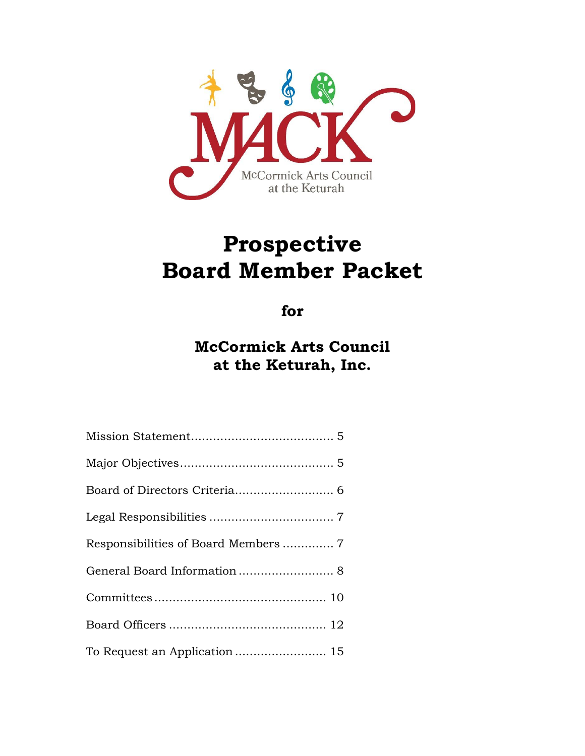

# **Prospective Board Member Packet**

**for**

**McCormick Arts Council at the Keturah, Inc.**

| General Board Information 8 |
|-----------------------------|
|                             |
|                             |
|                             |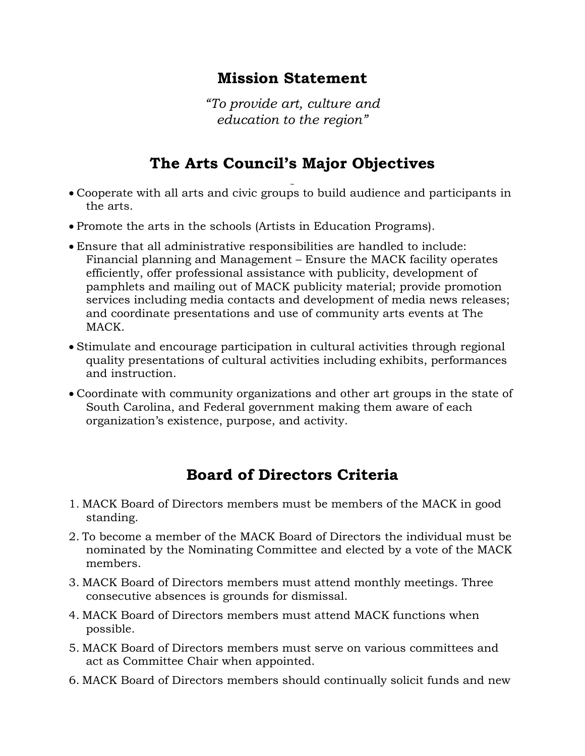#### **Mission Statement**

*"To provide art, culture and education to the region"*

### **The Arts Council's Major Objectives**

- Cooperate with all arts and civic groups to build audience and participants in the arts.
- Promote the arts in the schools (Artists in Education Programs).
- Ensure that all administrative responsibilities are handled to include: Financial planning and Management – Ensure the MACK facility operates efficiently, offer professional assistance with publicity, development of pamphlets and mailing out of MACK publicity material; provide promotion services including media contacts and development of media news releases; and coordinate presentations and use of community arts events at The MACK.
- Stimulate and encourage participation in cultural activities through regional quality presentations of cultural activities including exhibits, performances and instruction.
- Coordinate with community organizations and other art groups in the state of South Carolina, and Federal government making them aware of each organization's existence, purpose, and activity.

#### **Board of Directors Criteria**

- 1. MACK Board of Directors members must be members of the MACK in good standing.
- 2. To become a member of the MACK Board of Directors the individual must be nominated by the Nominating Committee and elected by a vote of the MACK members.
- 3. MACK Board of Directors members must attend monthly meetings. Three consecutive absences is grounds for dismissal.
- 4. MACK Board of Directors members must attend MACK functions when possible.
- 5. MACK Board of Directors members must serve on various committees and act as Committee Chair when appointed.
- 6. MACK Board of Directors members should continually solicit funds and new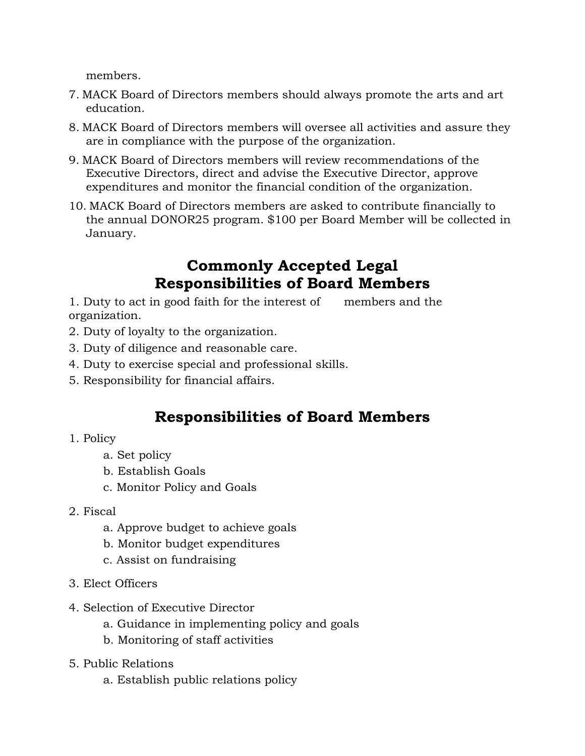members.

- 7. MACK Board of Directors members should always promote the arts and art education.
- 8. MACK Board of Directors members will oversee all activities and assure they are in compliance with the purpose of the organization.
- 9. MACK Board of Directors members will review recommendations of the Executive Directors, direct and advise the Executive Director, approve expenditures and monitor the financial condition of the organization.
- 10. MACK Board of Directors members are asked to contribute financially to the annual DONOR25 program. \$100 per Board Member will be collected in January.

#### **Commonly Accepted Legal Responsibilities of Board Members**

1. Duty to act in good faith for the interest of members and the organization.

- 2. Duty of loyalty to the organization.
- 3. Duty of diligence and reasonable care.
- 4. Duty to exercise special and professional skills.
- 5. Responsibility for financial affairs.

#### **Responsibilities of Board Members**

- 1. Policy
	- a. Set policy
	- b. Establish Goals
	- c. Monitor Policy and Goals
- 2. Fiscal
	- a. Approve budget to achieve goals
	- b. Monitor budget expenditures
	- c. Assist on fundraising
- 3. Elect Officers
- 4. Selection of Executive Director
	- a. Guidance in implementing policy and goals
	- b. Monitoring of staff activities
- 5. Public Relations
	- a. Establish public relations policy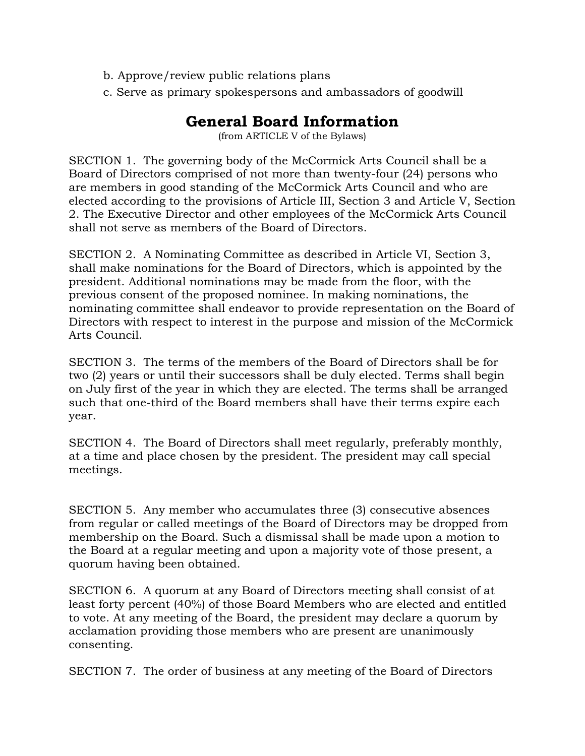- b. Approve/review public relations plans
- c. Serve as primary spokespersons and ambassadors of goodwill

#### **General Board Information**

(from ARTICLE V of the Bylaws)

SECTION 1. The governing body of the McCormick Arts Council shall be a Board of Directors comprised of not more than twenty-four (24) persons who are members in good standing of the McCormick Arts Council and who are elected according to the provisions of Article III, Section 3 and Article V, Section 2. The Executive Director and other employees of the McCormick Arts Council shall not serve as members of the Board of Directors.

SECTION 2. A Nominating Committee as described in Article VI, Section 3, shall make nominations for the Board of Directors, which is appointed by the president. Additional nominations may be made from the floor, with the previous consent of the proposed nominee. In making nominations, the nominating committee shall endeavor to provide representation on the Board of Directors with respect to interest in the purpose and mission of the McCormick Arts Council.

SECTION 3. The terms of the members of the Board of Directors shall be for two (2) years or until their successors shall be duly elected. Terms shall begin on July first of the year in which they are elected. The terms shall be arranged such that one-third of the Board members shall have their terms expire each year.

SECTION 4. The Board of Directors shall meet regularly, preferably monthly, at a time and place chosen by the president. The president may call special meetings.

SECTION 5. Any member who accumulates three (3) consecutive absences from regular or called meetings of the Board of Directors may be dropped from membership on the Board. Such a dismissal shall be made upon a motion to the Board at a regular meeting and upon a majority vote of those present, a quorum having been obtained.

SECTION 6. A quorum at any Board of Directors meeting shall consist of at least forty percent (40%) of those Board Members who are elected and entitled to vote. At any meeting of the Board, the president may declare a quorum by acclamation providing those members who are present are unanimously consenting.

SECTION 7. The order of business at any meeting of the Board of Directors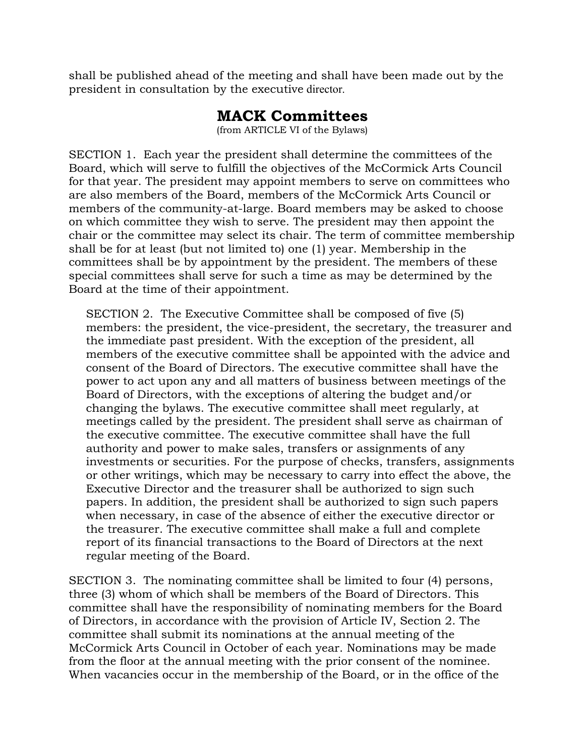shall be published ahead of the meeting and shall have been made out by the president in consultation by the executive director.

#### **MACK Committees**

(from ARTICLE VI of the Bylaws)

SECTION 1. Each year the president shall determine the committees of the Board, which will serve to fulfill the objectives of the McCormick Arts Council for that year. The president may appoint members to serve on committees who are also members of the Board, members of the McCormick Arts Council or members of the community-at-large. Board members may be asked to choose on which committee they wish to serve. The president may then appoint the chair or the committee may select its chair. The term of committee membership shall be for at least (but not limited to) one (1) year. Membership in the committees shall be by appointment by the president. The members of these special committees shall serve for such a time as may be determined by the Board at the time of their appointment.

SECTION 2. The Executive Committee shall be composed of five (5) members: the president, the vice-president, the secretary, the treasurer and the immediate past president. With the exception of the president, all members of the executive committee shall be appointed with the advice and consent of the Board of Directors. The executive committee shall have the power to act upon any and all matters of business between meetings of the Board of Directors, with the exceptions of altering the budget and/or changing the bylaws. The executive committee shall meet regularly, at meetings called by the president. The president shall serve as chairman of the executive committee. The executive committee shall have the full authority and power to make sales, transfers or assignments of any investments or securities. For the purpose of checks, transfers, assignments or other writings, which may be necessary to carry into effect the above, the Executive Director and the treasurer shall be authorized to sign such papers. In addition, the president shall be authorized to sign such papers when necessary, in case of the absence of either the executive director or the treasurer. The executive committee shall make a full and complete report of its financial transactions to the Board of Directors at the next regular meeting of the Board.

SECTION 3. The nominating committee shall be limited to four (4) persons, three (3) whom of which shall be members of the Board of Directors. This committee shall have the responsibility of nominating members for the Board of Directors, in accordance with the provision of Article IV, Section 2. The committee shall submit its nominations at the annual meeting of the McCormick Arts Council in October of each year. Nominations may be made from the floor at the annual meeting with the prior consent of the nominee. When vacancies occur in the membership of the Board, or in the office of the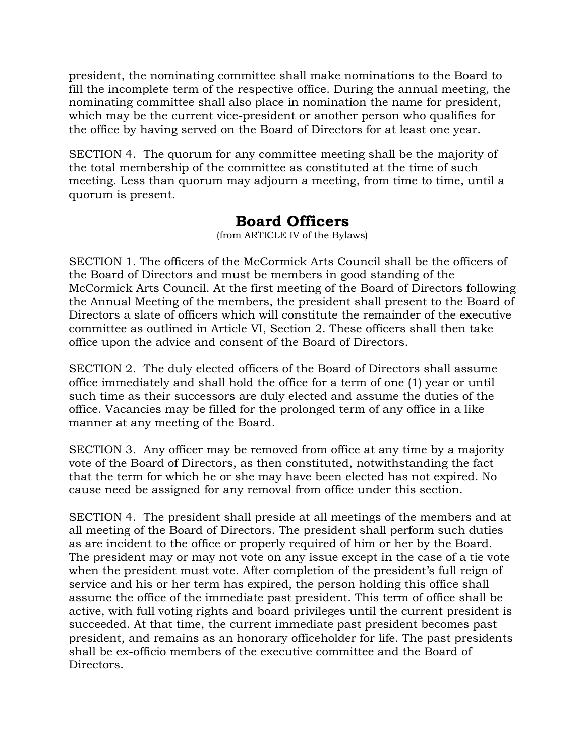president, the nominating committee shall make nominations to the Board to fill the incomplete term of the respective office. During the annual meeting, the nominating committee shall also place in nomination the name for president, which may be the current vice-president or another person who qualifies for the office by having served on the Board of Directors for at least one year.

SECTION 4. The quorum for any committee meeting shall be the majority of the total membership of the committee as constituted at the time of such meeting. Less than quorum may adjourn a meeting, from time to time, until a quorum is present.

#### **Board Officers**

(from ARTICLE IV of the Bylaws)

SECTION 1. The officers of the McCormick Arts Council shall be the officers of the Board of Directors and must be members in good standing of the McCormick Arts Council. At the first meeting of the Board of Directors following the Annual Meeting of the members, the president shall present to the Board of Directors a slate of officers which will constitute the remainder of the executive committee as outlined in Article VI, Section 2. These officers shall then take office upon the advice and consent of the Board of Directors.

SECTION 2. The duly elected officers of the Board of Directors shall assume office immediately and shall hold the office for a term of one (1) year or until such time as their successors are duly elected and assume the duties of the office. Vacancies may be filled for the prolonged term of any office in a like manner at any meeting of the Board.

SECTION 3. Any officer may be removed from office at any time by a majority vote of the Board of Directors, as then constituted, notwithstanding the fact that the term for which he or she may have been elected has not expired. No cause need be assigned for any removal from office under this section.

SECTION 4. The president shall preside at all meetings of the members and at all meeting of the Board of Directors. The president shall perform such duties as are incident to the office or properly required of him or her by the Board. The president may or may not vote on any issue except in the case of a tie vote when the president must vote. After completion of the president's full reign of service and his or her term has expired, the person holding this office shall assume the office of the immediate past president. This term of office shall be active, with full voting rights and board privileges until the current president is succeeded. At that time, the current immediate past president becomes past president, and remains as an honorary officeholder for life. The past presidents shall be ex-officio members of the executive committee and the Board of Directors.